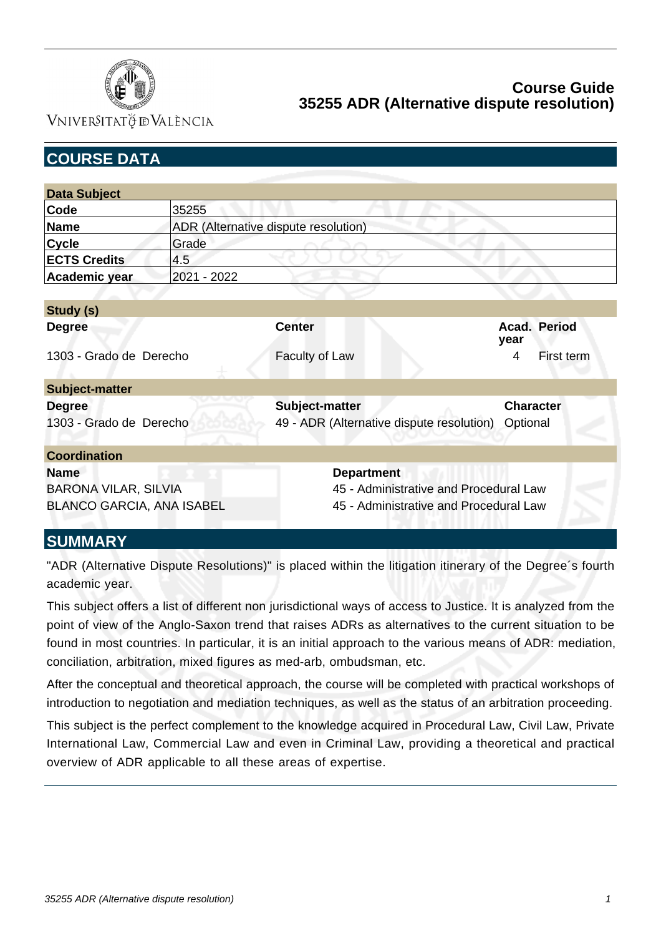

VNIVERSITATÖ ID VALÈNCIA

| <b>COURSE DATA</b>               |                                      |                                           |                                        |  |  |
|----------------------------------|--------------------------------------|-------------------------------------------|----------------------------------------|--|--|
|                                  |                                      |                                           |                                        |  |  |
| <b>Data Subject</b>              |                                      |                                           |                                        |  |  |
| Code                             | 35255                                |                                           |                                        |  |  |
| <b>Name</b>                      | ADR (Alternative dispute resolution) |                                           |                                        |  |  |
| <b>Cycle</b>                     | Grade                                |                                           |                                        |  |  |
| <b>ECTS Credits</b>              | 4.5                                  |                                           |                                        |  |  |
| Academic year                    | 2021 - 2022                          |                                           |                                        |  |  |
|                                  |                                      |                                           |                                        |  |  |
| Study (s)                        |                                      |                                           |                                        |  |  |
| <b>Degree</b>                    |                                      | <b>Center</b>                             | Acad. Period<br>year                   |  |  |
| 1303 - Grado de Derecho          |                                      | Faculty of Law                            | 4<br>First term                        |  |  |
| <b>Subject-matter</b>            |                                      |                                           |                                        |  |  |
| <b>Degree</b>                    |                                      | Subject-matter                            | <b>Character</b>                       |  |  |
| 1303 - Grado de Derecho          |                                      | 49 - ADR (Alternative dispute resolution) | Optional                               |  |  |
| <b>Coordination</b>              |                                      |                                           |                                        |  |  |
| <b>Name</b>                      |                                      | <b>Department</b>                         |                                        |  |  |
| <b>BARONA VILAR, SILVIA</b>      |                                      | 45 - Administrative and Procedural Law    |                                        |  |  |
| <b>BLANCO GARCIA, ANA ISABEL</b> |                                      |                                           | 45 - Administrative and Procedural Law |  |  |
| , , , , , , , , , , , <i>,</i>   |                                      |                                           |                                        |  |  |

# **SUMMARY**

"ADR (Alternative Dispute Resolutions)" is placed within the litigation itinerary of the Degree´s fourth academic year.

This subject offers a list of different non jurisdictional ways of access to Justice. It is analyzed from the point of view of the Anglo-Saxon trend that raises ADRs as alternatives to the current situation to be found in most countries. In particular, it is an initial approach to the various means of ADR: mediation, conciliation, arbitration, mixed figures as med-arb, ombudsman, etc.

After the conceptual and theoretical approach, the course will be completed with practical workshops of introduction to negotiation and mediation techniques, as well as the status of an arbitration proceeding.

This subject is the perfect complement to the knowledge acquired in Procedural Law, Civil Law, Private International Law, Commercial Law and even in Criminal Law, providing a theoretical and practical overview of ADR applicable to all these areas of expertise.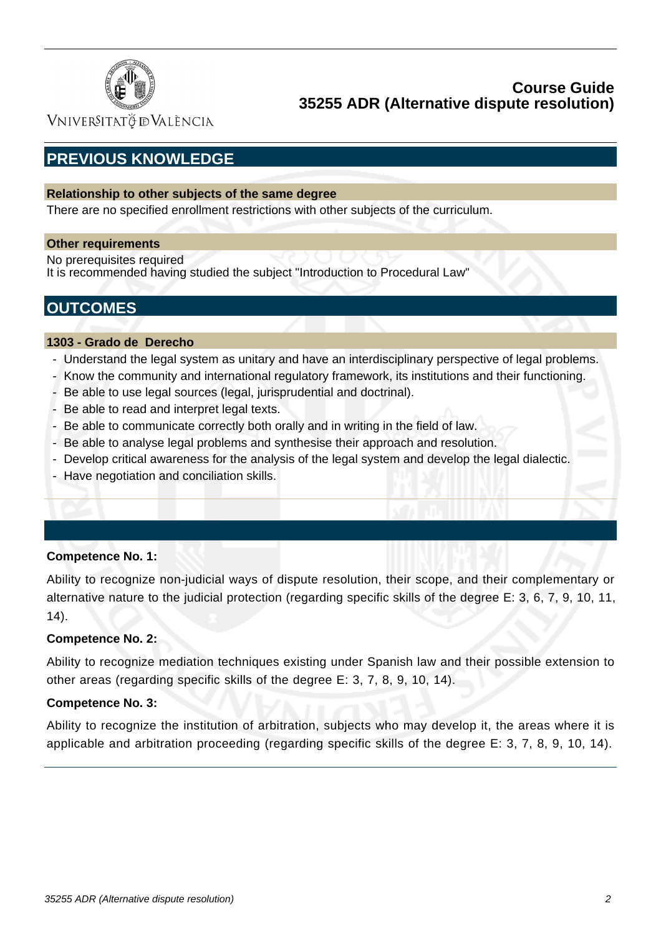

VNIVERSITATÖ ID VALÈNCIA

# **PREVIOUS KNOWLEDGE**

### **Relationship to other subjects of the same degree**

There are no specified enrollment restrictions with other subjects of the curriculum.

### **Other requirements**

No prerequisites required It is recommended having studied the subject "Introduction to Procedural Law"

# **OUTCOMES**

### **1303 - Grado de Derecho**

- Understand the legal system as unitary and have an interdisciplinary perspective of legal problems.
- Know the community and international regulatory framework, its institutions and their functioning.
- Be able to use legal sources (legal, jurisprudential and doctrinal).
- Be able to read and interpret legal texts.
- Be able to communicate correctly both orally and in writing in the field of law.
- Be able to analyse legal problems and synthesise their approach and resolution.
- Develop critical awareness for the analysis of the legal system and develop the legal dialectic.
- Have negotiation and conciliation skills.

### **Competence No. 1:**

Ability to recognize non-judicial ways of dispute resolution, their scope, and their complementary or alternative nature to the judicial protection (regarding specific skills of the degree E: 3, 6, 7, 9, 10, 11, 14).

### **Competence No. 2:**

Ability to recognize mediation techniques existing under Spanish law and their possible extension to other areas (regarding specific skills of the degree E: 3, 7, 8, 9, 10, 14).

### **Competence No. 3:**

Ability to recognize the institution of arbitration, subjects who may develop it, the areas where it is applicable and arbitration proceeding (regarding specific skills of the degree E: 3, 7, 8, 9, 10, 14).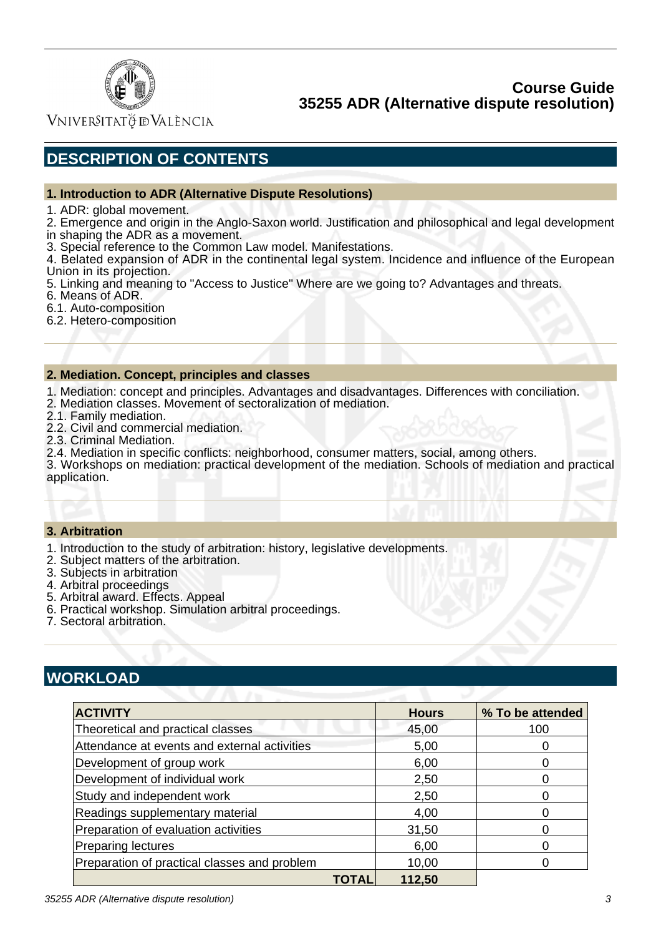

Vniver§itatğ dValència

# **DESCRIPTION OF CONTENTS**

#### **1. Introduction to ADR (Alternative Dispute Resolutions)**

1. ADR: global movement.

2. Emergence and origin in the Anglo-Saxon world. Justification and philosophical and legal development in shaping the ADR as a movement.

3. Special reference to the Common Law model. Manifestations.

4. Belated expansion of ADR in the continental legal system. Incidence and influence of the European Union in its projection.

5. Linking and meaning to "Access to Justice" Where are we going to? Advantages and threats.

- 6. Means of ADR.
- 6.1. Auto-composition
- 6.2. Hetero-composition

#### **2. Mediation. Concept, principles and classes**

- 1. Mediation: concept and principles. Advantages and disadvantages. Differences with conciliation.
- 2. Mediation classes. Movement of sectoralization of mediation.
- 2.1. Family mediation.
- 2.2. Civil and commercial mediation.
- 2.3. Criminal Mediation.
- 2.4. Mediation in specific conflicts: neighborhood, consumer matters, social, among others.

3. Workshops on mediation: practical development of the mediation. Schools of mediation and practical application.

#### **3. Arbitration**

- 1. Introduction to the study of arbitration: history, legislative developments.
- 2. Subject matters of the arbitration.
- 3. Subjects in arbitration
- 4. Arbitral proceedings
- 5. Arbitral award. Effects. Appeal
- 6. Practical workshop. Simulation arbitral proceedings.
- 7. Sectoral arbitration.

# **WORKLOAD**

| <b>ACTIVITY</b>                              |       | <b>Hours</b> | % To be attended |
|----------------------------------------------|-------|--------------|------------------|
| Theoretical and practical classes            |       | 45,00        | 100              |
| Attendance at events and external activities | 5,00  |              |                  |
| Development of group work                    | 6,00  |              |                  |
| Development of individual work               | 2,50  |              |                  |
| Study and independent work                   |       | 2,50         |                  |
| Readings supplementary material              |       | 4,00         |                  |
| Preparation of evaluation activities         |       | 31,50        |                  |
| <b>Preparing lectures</b>                    |       | 6,00         |                  |
| Preparation of practical classes and problem |       | 10,00        |                  |
|                                              | TOTAL | 112,50       |                  |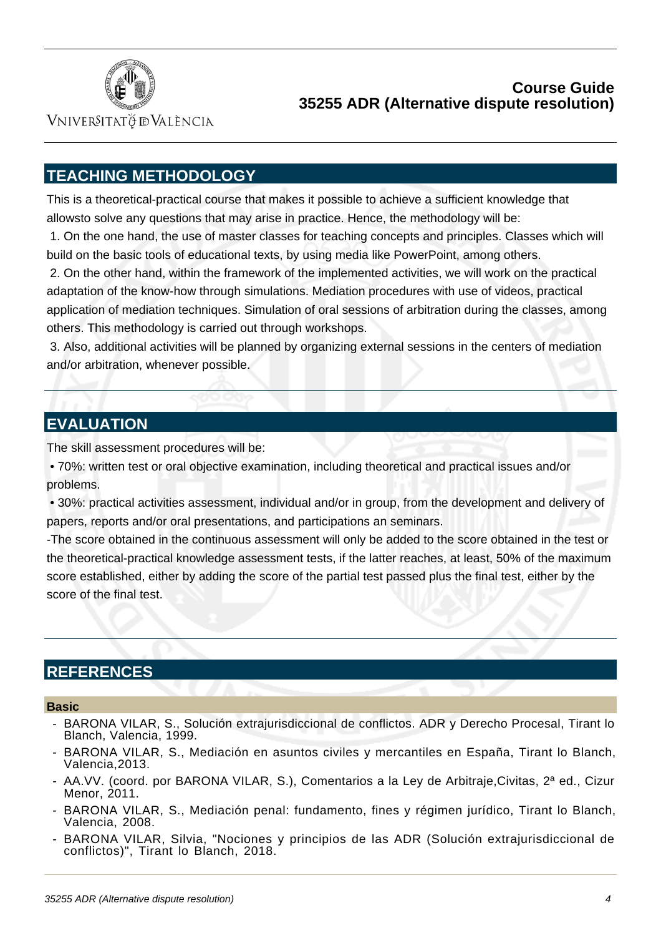

Vniver§itatğ dValència

# **TEACHING METHODOLOGY**

This is a theoretical-practical course that makes it possible to achieve a sufficient knowledge that allowsto solve any questions that may arise in practice. Hence, the methodology will be:

 1. On the one hand, the use of master classes for teaching concepts and principles. Classes which will build on the basic tools of educational texts, by using media like PowerPoint, among others.

 2. On the other hand, within the framework of the implemented activities, we will work on the practical adaptation of the know-how through simulations. Mediation procedures with use of videos, practical application of mediation techniques. Simulation of oral sessions of arbitration during the classes, among others. This methodology is carried out through workshops.

 3. Also, additional activities will be planned by organizing external sessions in the centers of mediation and/or arbitration, whenever possible.

## **EVALUATION**

The skill assessment procedures will be:

 • 70%: written test or oral objective examination, including theoretical and practical issues and/or problems.

 • 30%: practical activities assessment, individual and/or in group, from the development and delivery of papers, reports and/or oral presentations, and participations an seminars.

-The score obtained in the continuous assessment will only be added to the score obtained in the test or the theoretical-practical knowledge assessment tests, if the latter reaches, at least, 50% of the maximum score established, either by adding the score of the partial test passed plus the final test, either by the score of the final test.

## **REFERENCES**

#### **Basic**

- BARONA VILAR, S., Solución extrajurisdiccional de conflictos. ADR y Derecho Procesal, Tirant lo Blanch, Valencia, 1999.
- BARONA VILAR, S., Mediación en asuntos civiles y mercantiles en España, Tirant lo Blanch, Valencia,2013.
- AA.VV. (coord. por BARONA VILAR, S.), Comentarios a la Ley de Arbitraje,Civitas, 2ª ed., Cizur Menor, 2011.
- BARONA VILAR, S., Mediación penal: fundamento, fines y régimen jurídico, Tirant lo Blanch, Valencia, 2008.
- BARONA VILAR, Silvia, "Nociones y principios de las ADR (Solución extrajurisdiccional de conflictos)", Tirant lo Blanch, 2018.